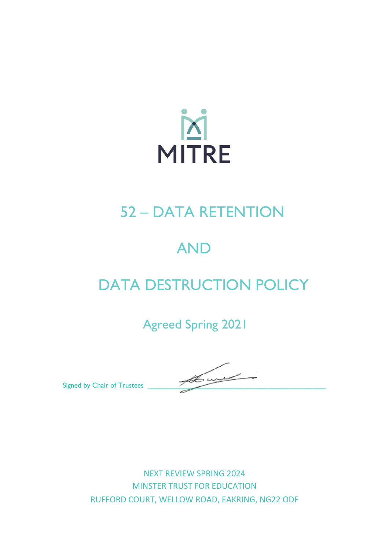

# 52 – DATA RETENTION

# AND

# DATA DESTRUCTION POLICY

Agreed Spring 2021

Signed by Chair of Trustees

NEXT REVIEW SPRING 2024 MINSTER TRUST FOR EDUCATION RUFFORD COURT, WELLOW ROAD, EAKRING, NG22 ODF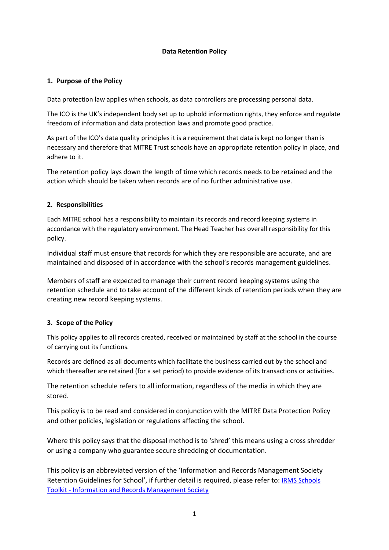#### **Data Retention Policy**

### **1. Purpose of the Policy**

Data protection law applies when schools, as data controllers are processing personal data.

The ICO is the UK's independent body set up to uphold information rights, they enforce and regulate freedom of information and data protection laws and promote good practice.

As part of the ICO's data quality principles it is a requirement that data is kept no longer than is necessary and therefore that MITRE Trust schools have an appropriate retention policy in place, and adhere to it.

The retention policy lays down the length of time which records needs to be retained and the action which should be taken when records are of no further administrative use.

### **2. Responsibilities**

Each MITRE school has a responsibility to maintain its records and record keeping systems in accordance with the regulatory environment. The Head Teacher has overall responsibility for this policy.

Individual staff must ensure that records for which they are responsible are accurate, and are maintained and disposed of in accordance with the school's records management guidelines.

Members of staff are expected to manage their current record keeping systems using the retention schedule and to take account of the different kinds of retention periods when they are creating new record keeping systems.

### **3. Scope of the Policy**

This policy applies to all records created, received or maintained by staff at the school in the course of carrying out its functions.

Records are defined as all documents which facilitate the business carried out by the school and which thereafter are retained (for a set period) to provide evidence of its transactions or activities.

The retention schedule refers to all information, regardless of the media in which they are stored.

This policy is to be read and considered in conjunction with the MITRE Data Protection Policy and other policies, legislation or regulations affecting the school.

Where this policy says that the disposal method is to 'shred' this means using a cross shredder or using a company who guarantee secure shredding of documentation.

This policy is an abbreviated version of the 'Information and Records Management Society Retention Guidelines for School', if further detail is required, please refer to: [IRMS Schools](https://irms.org.uk/page/SchoolsToolkit)  Toolkit - [Information and Records Management Society](https://irms.org.uk/page/SchoolsToolkit)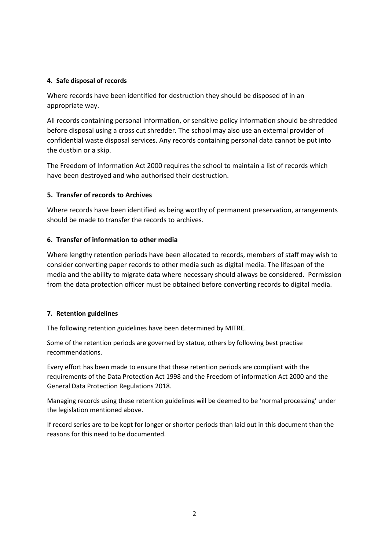#### **4. Safe disposal of records**

Where records have been identified for destruction they should be disposed of in an appropriate way.

All records containing personal information, or sensitive policy information should be shredded before disposal using a cross cut shredder. The school may also use an external provider of confidential waste disposal services. Any records containing personal data cannot be put into the dustbin or a skip.

The Freedom of Information Act 2000 requires the school to maintain a list of records which have been destroyed and who authorised their destruction.

### **5. Transfer of records to Archives**

Where records have been identified as being worthy of permanent preservation, arrangements should be made to transfer the records to archives.

### **6. Transfer of information to other media**

Where lengthy retention periods have been allocated to records, members of staff may wish to consider converting paper records to other media such as digital media. The lifespan of the media and the ability to migrate data where necessary should always be considered. Permission from the data protection officer must be obtained before converting records to digital media.

### **7. Retention guidelines**

The following retention guidelines have been determined by MITRE.

Some of the retention periods are governed by statue, others by following best practise recommendations.

Every effort has been made to ensure that these retention periods are compliant with the requirements of the Data Protection Act 1998 and the Freedom of information Act 2000 and the General Data Protection Regulations 2018.

Managing records using these retention guidelines will be deemed to be 'normal processing' under the legislation mentioned above.

If record series are to be kept for longer or shorter periods than laid out in this document than the reasons for this need to be documented.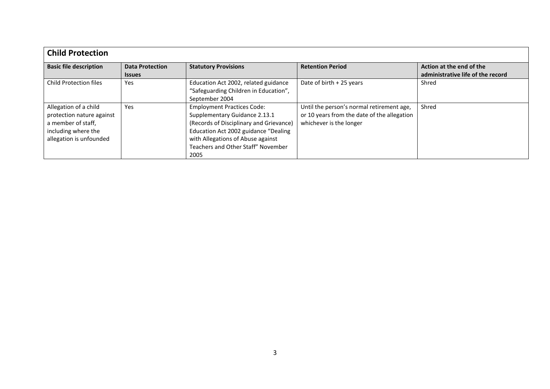| <b>Child Protection</b>                                                                                                    |                                         |                                                                                                                                                                                                                                          |                                                                                                                     |                                                               |
|----------------------------------------------------------------------------------------------------------------------------|-----------------------------------------|------------------------------------------------------------------------------------------------------------------------------------------------------------------------------------------------------------------------------------------|---------------------------------------------------------------------------------------------------------------------|---------------------------------------------------------------|
| <b>Basic file description</b>                                                                                              | <b>Data Protection</b><br><b>Issues</b> | <b>Statutory Provisions</b>                                                                                                                                                                                                              | <b>Retention Period</b>                                                                                             | Action at the end of the<br>administrative life of the record |
| <b>Child Protection files</b>                                                                                              | Yes                                     | Education Act 2002, related guidance<br>"Safeguarding Children in Education",<br>September 2004                                                                                                                                          | Date of birth $+25$ years                                                                                           | Shred                                                         |
| Allegation of a child<br>protection nature against<br>a member of staff,<br>including where the<br>allegation is unfounded | Yes                                     | <b>Employment Practices Code:</b><br>Supplementary Guidance 2.13.1<br>(Records of Disciplinary and Grievance)<br>Education Act 2002 guidance "Dealing<br>with Allegations of Abuse against<br>Teachers and Other Staff" November<br>2005 | Until the person's normal retirement age,<br>or 10 years from the date of the allegation<br>whichever is the longer | Shred                                                         |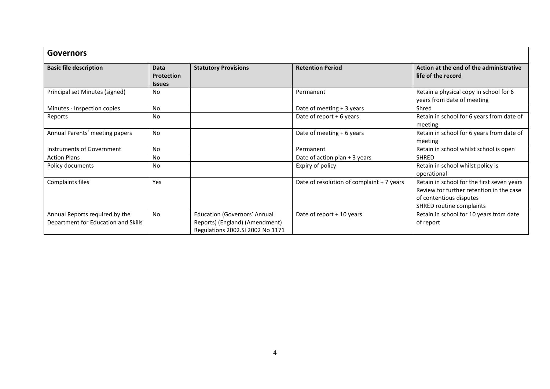| <b>Governors</b>                                                      |                                                   |                                                                                                           |                                           |                                                                                                                                               |
|-----------------------------------------------------------------------|---------------------------------------------------|-----------------------------------------------------------------------------------------------------------|-------------------------------------------|-----------------------------------------------------------------------------------------------------------------------------------------------|
| <b>Basic file description</b>                                         | <b>Data</b><br><b>Protection</b><br><b>Issues</b> | <b>Statutory Provisions</b>                                                                               | <b>Retention Period</b>                   | Action at the end of the administrative<br>life of the record                                                                                 |
| Principal set Minutes (signed)                                        | No                                                |                                                                                                           | Permanent                                 | Retain a physical copy in school for 6<br>years from date of meeting                                                                          |
| Minutes - Inspection copies                                           | <b>No</b>                                         |                                                                                                           | Date of meeting + 3 years                 | Shred                                                                                                                                         |
| Reports                                                               | No                                                |                                                                                                           | Date of report $+6$ years                 | Retain in school for 6 years from date of<br>meeting                                                                                          |
| Annual Parents' meeting papers                                        | <b>No</b>                                         |                                                                                                           | Date of meeting + 6 years                 | Retain in school for 6 years from date of<br>meeting                                                                                          |
| Instruments of Government                                             | No                                                |                                                                                                           | Permanent                                 | Retain in school whilst school is open                                                                                                        |
| <b>Action Plans</b>                                                   | No                                                |                                                                                                           | Date of action plan + 3 years             | <b>SHRED</b>                                                                                                                                  |
| Policy documents                                                      | No                                                |                                                                                                           | Expiry of policy                          | Retain in school whilst policy is<br>operational                                                                                              |
| Complaints files                                                      | <b>Yes</b>                                        |                                                                                                           | Date of resolution of complaint + 7 years | Retain in school for the first seven years<br>Review for further retention in the case<br>of contentious disputes<br>SHRED routine complaints |
| Annual Reports required by the<br>Department for Education and Skills | <b>No</b>                                         | <b>Education (Governors' Annual</b><br>Reports) (England) (Amendment)<br>Regulations 2002.SI 2002 No 1171 | Date of report + 10 years                 | Retain in school for 10 years from date<br>of report                                                                                          |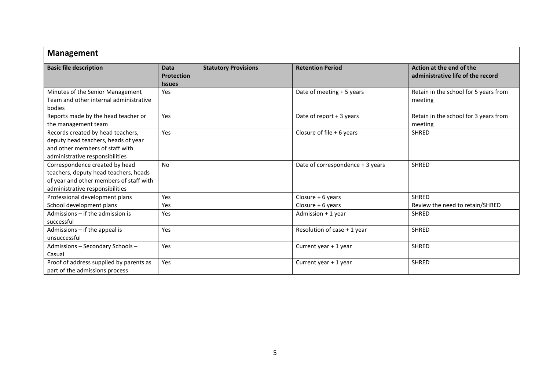| <b>Management</b>                                                                                                                                     |                                                   |                             |                                  |                                                               |
|-------------------------------------------------------------------------------------------------------------------------------------------------------|---------------------------------------------------|-----------------------------|----------------------------------|---------------------------------------------------------------|
| <b>Basic file description</b>                                                                                                                         | <b>Data</b><br><b>Protection</b><br><b>Issues</b> | <b>Statutory Provisions</b> | <b>Retention Period</b>          | Action at the end of the<br>administrative life of the record |
| Minutes of the Senior Management<br>Team and other internal administrative<br>bodies                                                                  | Yes                                               |                             | Date of meeting + 5 years        | Retain in the school for 5 years from<br>meeting              |
| Reports made by the head teacher or<br>the management team                                                                                            | Yes                                               |                             | Date of report + 3 years         | Retain in the school for 3 years from<br>meeting              |
| Records created by head teachers,<br>deputy head teachers, heads of year<br>and other members of staff with<br>administrative responsibilities        | Yes                                               |                             | Closure of file $+6$ years       | SHRED                                                         |
| Correspondence created by head<br>teachers, deputy head teachers, heads<br>of year and other members of staff with<br>administrative responsibilities | <b>No</b>                                         |                             | Date of correspondence + 3 years | <b>SHRED</b>                                                  |
| Professional development plans                                                                                                                        | Yes                                               |                             | Closure $+6$ years               | <b>SHRED</b>                                                  |
| School development plans                                                                                                                              | Yes                                               |                             | Closure $+6$ years               | Review the need to retain/SHRED                               |
| Admissions - if the admission is<br>successful                                                                                                        | Yes                                               |                             | Admission + 1 year               | <b>SHRED</b>                                                  |
| Admissions - if the appeal is<br>unsuccessful                                                                                                         | Yes                                               |                             | Resolution of case + 1 year      | <b>SHRED</b>                                                  |
| Admissions - Secondary Schools -<br>Casual                                                                                                            | Yes                                               |                             | Current year + 1 year            | <b>SHRED</b>                                                  |
| Proof of address supplied by parents as<br>part of the admissions process                                                                             | Yes                                               |                             | Current year + 1 year            | <b>SHRED</b>                                                  |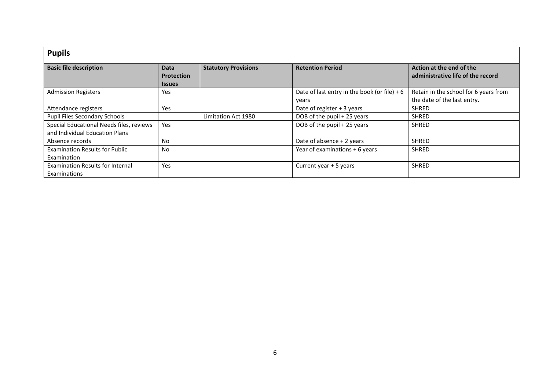| <b>Pupils</b>                                                              |                                            |                             |                                                         |                                                                      |
|----------------------------------------------------------------------------|--------------------------------------------|-----------------------------|---------------------------------------------------------|----------------------------------------------------------------------|
| <b>Basic file description</b>                                              | Data<br><b>Protection</b><br><b>Issues</b> | <b>Statutory Provisions</b> | <b>Retention Period</b>                                 | Action at the end of the<br>administrative life of the record        |
| <b>Admission Registers</b>                                                 | Yes                                        |                             | Date of last entry in the book (or file) + $6$<br>years | Retain in the school for 6 years from<br>the date of the last entry. |
| Attendance registers                                                       | Yes                                        |                             | Date of register $+3$ years                             | <b>SHRED</b>                                                         |
| <b>Pupil Files Secondary Schools</b>                                       |                                            | Limitation Act 1980         | DOB of the pupil + 25 years                             | <b>SHRED</b>                                                         |
| Special Educational Needs files, reviews<br>and Individual Education Plans | Yes                                        |                             | DOB of the pupil + 25 years                             | <b>SHRED</b>                                                         |
| Absence records                                                            | No                                         |                             | Date of absence + 2 years                               | <b>SHRED</b>                                                         |
| <b>Examination Results for Public</b><br>Examination                       | <b>No</b>                                  |                             | Year of examinations + 6 years                          | <b>SHRED</b>                                                         |
| <b>Examination Results for Internal</b><br>Examinations                    | Yes                                        |                             | Current year + 5 years                                  | <b>SHRED</b>                                                         |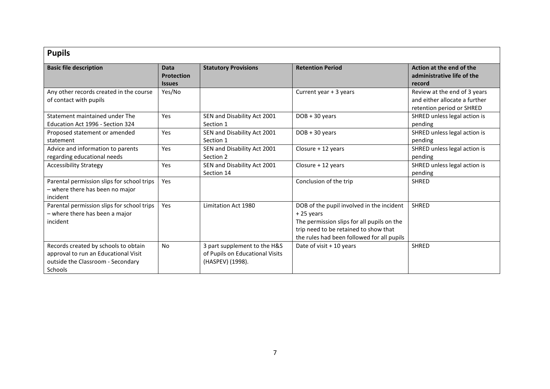| <b>Pupils</b>                                                                                                                       |                                                   |                                                                                     |                                                                                                                                                                                               |                                                                                            |
|-------------------------------------------------------------------------------------------------------------------------------------|---------------------------------------------------|-------------------------------------------------------------------------------------|-----------------------------------------------------------------------------------------------------------------------------------------------------------------------------------------------|--------------------------------------------------------------------------------------------|
| <b>Basic file description</b>                                                                                                       | <b>Data</b><br><b>Protection</b><br><b>Issues</b> | <b>Statutory Provisions</b>                                                         | <b>Retention Period</b>                                                                                                                                                                       | Action at the end of the<br>administrative life of the<br>record                           |
| Any other records created in the course<br>of contact with pupils                                                                   | Yes/No                                            |                                                                                     | Current year + 3 years                                                                                                                                                                        | Review at the end of 3 years<br>and either allocate a further<br>retention period or SHRED |
| Statement maintained under The<br>Education Act 1996 - Section 324                                                                  | Yes                                               | SEN and Disability Act 2001<br>Section 1                                            | $DOB + 30 years$                                                                                                                                                                              | SHRED unless legal action is<br>pending                                                    |
| Proposed statement or amended<br>statement                                                                                          | Yes                                               | SEN and Disability Act 2001<br>Section 1                                            | $DOB + 30 years$                                                                                                                                                                              | SHRED unless legal action is<br>pending                                                    |
| Advice and information to parents<br>regarding educational needs                                                                    | Yes                                               | SEN and Disability Act 2001<br>Section 2                                            | Closure + 12 years                                                                                                                                                                            | SHRED unless legal action is<br>pending                                                    |
| <b>Accessibility Strategy</b>                                                                                                       | Yes                                               | SEN and Disability Act 2001<br>Section 14                                           | Closure + 12 years                                                                                                                                                                            | SHRED unless legal action is<br>pending                                                    |
| Parental permission slips for school trips<br>- where there has been no major<br>incident                                           | Yes                                               |                                                                                     | Conclusion of the trip                                                                                                                                                                        | <b>SHRED</b>                                                                               |
| Parental permission slips for school trips<br>- where there has been a major<br>incident                                            | Yes                                               | Limitation Act 1980                                                                 | DOB of the pupil involved in the incident<br>$+25$ years<br>The permission slips for all pupils on the<br>trip need to be retained to show that<br>the rules had been followed for all pupils | <b>SHRED</b>                                                                               |
| Records created by schools to obtain<br>approval to run an Educational Visit<br>outside the Classroom - Secondary<br><b>Schools</b> | <b>No</b>                                         | 3 part supplement to the H&S<br>of Pupils on Educational Visits<br>(HASPEV) (1998). | Date of visit $+10$ years                                                                                                                                                                     | <b>SHRED</b>                                                                               |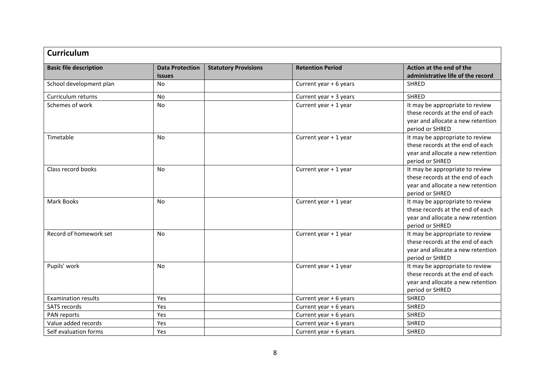| <b>Curriculum</b>             |                                         |                             |                         |                                                                                                                             |
|-------------------------------|-----------------------------------------|-----------------------------|-------------------------|-----------------------------------------------------------------------------------------------------------------------------|
| <b>Basic file description</b> | <b>Data Protection</b><br><b>Issues</b> | <b>Statutory Provisions</b> | <b>Retention Period</b> | Action at the end of the<br>administrative life of the record                                                               |
| School development plan       | <b>No</b>                               |                             | Current year + 6 years  | <b>SHRED</b>                                                                                                                |
| Curriculum returns            | <b>No</b>                               |                             | Current year + 3 years  | <b>SHRED</b>                                                                                                                |
| Schemes of work               | No                                      |                             | Current year + 1 year   | It may be appropriate to review<br>these records at the end of each<br>year and allocate a new retention<br>period or SHRED |
| Timetable                     | <b>No</b>                               |                             | Current year + 1 year   | It may be appropriate to review<br>these records at the end of each<br>year and allocate a new retention<br>period or SHRED |
| Class record books            | <b>No</b>                               |                             | Current year + 1 year   | It may be appropriate to review<br>these records at the end of each<br>year and allocate a new retention<br>period or SHRED |
| <b>Mark Books</b>             | No                                      |                             | Current year + 1 year   | It may be appropriate to review<br>these records at the end of each<br>year and allocate a new retention<br>period or SHRED |
| Record of homework set        | No                                      |                             | Current year + 1 year   | It may be appropriate to review<br>these records at the end of each<br>year and allocate a new retention<br>period or SHRED |
| Pupils' work                  | No                                      |                             | Current year + 1 year   | It may be appropriate to review<br>these records at the end of each<br>year and allocate a new retention<br>period or SHRED |
| <b>Examination results</b>    | Yes                                     |                             | Current year + 6 years  | <b>SHRED</b>                                                                                                                |
| SATS records                  | Yes                                     |                             | Current year + 6 years  | <b>SHRED</b>                                                                                                                |
| PAN reports                   | Yes                                     |                             | Current year + 6 years  | <b>SHRED</b>                                                                                                                |
| Value added records           | Yes                                     |                             | Current year + 6 years  | <b>SHRED</b>                                                                                                                |
| Self evaluation forms         | Yes                                     |                             | Current year + 6 years  | <b>SHRED</b>                                                                                                                |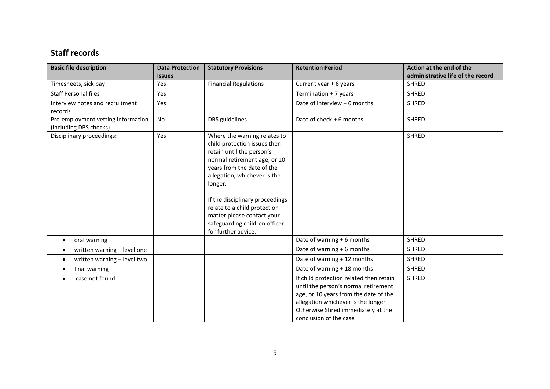| <b>Staff records</b>                                         |                                         |                                                                                                                                                                                                                                                                                                                                                             |                                                                                                                                                                                                                                 |                                                               |
|--------------------------------------------------------------|-----------------------------------------|-------------------------------------------------------------------------------------------------------------------------------------------------------------------------------------------------------------------------------------------------------------------------------------------------------------------------------------------------------------|---------------------------------------------------------------------------------------------------------------------------------------------------------------------------------------------------------------------------------|---------------------------------------------------------------|
| <b>Basic file description</b>                                | <b>Data Protection</b><br><b>Issues</b> | <b>Statutory Provisions</b>                                                                                                                                                                                                                                                                                                                                 | <b>Retention Period</b>                                                                                                                                                                                                         | Action at the end of the<br>administrative life of the record |
| Timesheets, sick pay                                         | Yes                                     | <b>Financial Regulations</b>                                                                                                                                                                                                                                                                                                                                | Current year + 6 years                                                                                                                                                                                                          | <b>SHRED</b>                                                  |
| <b>Staff Personal files</b>                                  | Yes                                     |                                                                                                                                                                                                                                                                                                                                                             | Termination + 7 years                                                                                                                                                                                                           | SHRED                                                         |
| Interview notes and recruitment<br>records                   | Yes                                     |                                                                                                                                                                                                                                                                                                                                                             | Date of interview + 6 months                                                                                                                                                                                                    | <b>SHRED</b>                                                  |
| Pre-employment vetting information<br>(including DBS checks) | No                                      | DBS guidelines                                                                                                                                                                                                                                                                                                                                              | Date of check + 6 months                                                                                                                                                                                                        | <b>SHRED</b>                                                  |
| Disciplinary proceedings:                                    | Yes                                     | Where the warning relates to<br>child protection issues then<br>retain until the person's<br>normal retirement age, or 10<br>years from the date of the<br>allegation, whichever is the<br>longer.<br>If the disciplinary proceedings<br>relate to a child protection<br>matter please contact your<br>safeguarding children officer<br>for further advice. |                                                                                                                                                                                                                                 | <b>SHRED</b>                                                  |
| oral warning<br>$\bullet$                                    |                                         |                                                                                                                                                                                                                                                                                                                                                             | Date of warning + 6 months                                                                                                                                                                                                      | <b>SHRED</b>                                                  |
| written warning - level one<br>$\bullet$                     |                                         |                                                                                                                                                                                                                                                                                                                                                             | Date of warning + 6 months                                                                                                                                                                                                      | <b>SHRED</b>                                                  |
| written warning - level two<br>$\bullet$                     |                                         |                                                                                                                                                                                                                                                                                                                                                             | Date of warning + 12 months                                                                                                                                                                                                     | SHRED                                                         |
| final warning<br>$\bullet$                                   |                                         |                                                                                                                                                                                                                                                                                                                                                             | Date of warning + 18 months                                                                                                                                                                                                     | <b>SHRED</b>                                                  |
| case not found                                               |                                         |                                                                                                                                                                                                                                                                                                                                                             | If child protection related then retain<br>until the person's normal retirement<br>age, or 10 years from the date of the<br>allegation whichever is the longer.<br>Otherwise Shred immediately at the<br>conclusion of the case | SHRED                                                         |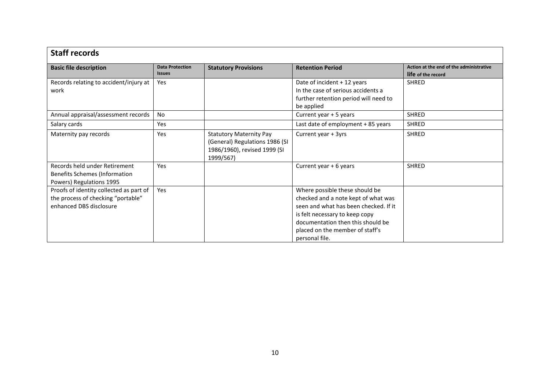| <b>Staff records</b>                    |                        |                                |                                       |                                         |  |  |
|-----------------------------------------|------------------------|--------------------------------|---------------------------------------|-----------------------------------------|--|--|
| <b>Basic file description</b>           | <b>Data Protection</b> | <b>Statutory Provisions</b>    | <b>Retention Period</b>               | Action at the end of the administrative |  |  |
|                                         | <b>Issues</b>          |                                |                                       | life of the record                      |  |  |
| Records relating to accident/injury at  | Yes                    |                                | Date of incident + 12 years           | <b>SHRED</b>                            |  |  |
| work                                    |                        |                                | In the case of serious accidents a    |                                         |  |  |
|                                         |                        |                                | further retention period will need to |                                         |  |  |
|                                         |                        |                                | be applied                            |                                         |  |  |
| Annual appraisal/assessment records     | <b>No</b>              |                                | Current year + 5 years                | <b>SHRED</b>                            |  |  |
| Salary cards                            | Yes                    |                                | Last date of employment + 85 years    | <b>SHRED</b>                            |  |  |
| Maternity pay records                   | Yes                    | <b>Statutory Maternity Pay</b> | Current year + 3yrs                   | <b>SHRED</b>                            |  |  |
|                                         |                        | (General) Regulations 1986 (SI |                                       |                                         |  |  |
|                                         |                        | 1986/1960), revised 1999 (SI   |                                       |                                         |  |  |
|                                         |                        | 1999/567)                      |                                       |                                         |  |  |
| Records held under Retirement           | Yes                    |                                | Current year + 6 years                | <b>SHRED</b>                            |  |  |
| Benefits Schemes (Information           |                        |                                |                                       |                                         |  |  |
| Powers) Regulations 1995                |                        |                                |                                       |                                         |  |  |
| Proofs of identity collected as part of | Yes                    |                                | Where possible these should be        |                                         |  |  |
| the process of checking "portable"      |                        |                                | checked and a note kept of what was   |                                         |  |  |
| enhanced DBS disclosure                 |                        |                                | seen and what has been checked. If it |                                         |  |  |
|                                         |                        |                                | is felt necessary to keep copy        |                                         |  |  |
|                                         |                        |                                | documentation then this should be     |                                         |  |  |
|                                         |                        |                                | placed on the member of staff's       |                                         |  |  |
|                                         |                        |                                | personal file.                        |                                         |  |  |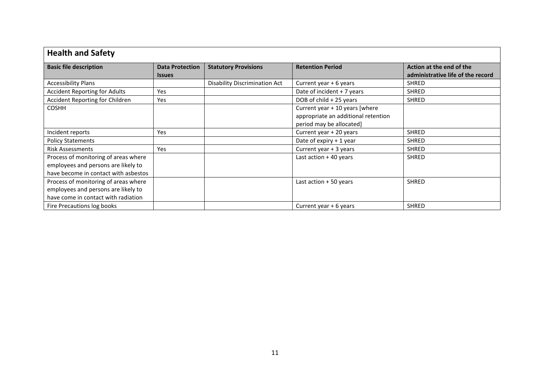| <b>Health and Safety</b>                                                                                            |                                                |                               |                                                                                                   |                                                               |
|---------------------------------------------------------------------------------------------------------------------|------------------------------------------------|-------------------------------|---------------------------------------------------------------------------------------------------|---------------------------------------------------------------|
| <b>Basic file description</b>                                                                                       | <b>Data Protection</b><br><i><b>Issues</b></i> | <b>Statutory Provisions</b>   | <b>Retention Period</b>                                                                           | Action at the end of the<br>administrative life of the record |
| <b>Accessibility Plans</b>                                                                                          |                                                | Disability Discrimination Act | Current year + 6 years                                                                            | <b>SHRED</b>                                                  |
| <b>Accident Reporting for Adults</b>                                                                                | Yes                                            |                               | Date of incident + 7 years                                                                        | <b>SHRED</b>                                                  |
| Accident Reporting for Children                                                                                     | Yes                                            |                               | DOB of child + 25 years                                                                           | <b>SHRED</b>                                                  |
| <b>COSHH</b>                                                                                                        |                                                |                               | Current year + 10 years [where<br>appropriate an additional retention<br>period may be allocated] |                                                               |
| Incident reports                                                                                                    | Yes                                            |                               | Current year + 20 years                                                                           | SHRED                                                         |
| <b>Policy Statements</b>                                                                                            |                                                |                               | Date of expiry + 1 year                                                                           | SHRED                                                         |
| <b>Risk Assessments</b>                                                                                             | Yes                                            |                               | Current year + 3 years                                                                            | <b>SHRED</b>                                                  |
| Process of monitoring of areas where<br>employees and persons are likely to<br>have become in contact with asbestos |                                                |                               | Last action + 40 years                                                                            | <b>SHRED</b>                                                  |
| Process of monitoring of areas where<br>employees and persons are likely to<br>have come in contact with radiation  |                                                |                               | Last action + 50 years                                                                            | <b>SHRED</b>                                                  |
| Fire Precautions log books                                                                                          |                                                |                               | Current year $+6$ years                                                                           | SHRED                                                         |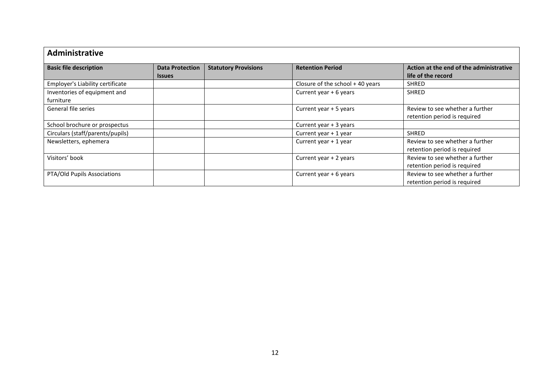| Administrative                   |                        |                             |                                    |                                         |
|----------------------------------|------------------------|-----------------------------|------------------------------------|-----------------------------------------|
| <b>Basic file description</b>    | <b>Data Protection</b> | <b>Statutory Provisions</b> | <b>Retention Period</b>            | Action at the end of the administrative |
|                                  | <b>Issues</b>          |                             |                                    | life of the record                      |
| Employer's Liability certificate |                        |                             | Closure of the school $+$ 40 years | <b>SHRED</b>                            |
| Inventories of equipment and     |                        |                             | Current year + 6 years             | <b>SHRED</b>                            |
| furniture                        |                        |                             |                                    |                                         |
| General file series              |                        |                             | Current year + 5 years             | Review to see whether a further         |
|                                  |                        |                             |                                    | retention period is required            |
| School brochure or prospectus    |                        |                             | Current year + 3 years             |                                         |
| Circulars (staff/parents/pupils) |                        |                             | Current year + 1 year              | <b>SHRED</b>                            |
| Newsletters, ephemera            |                        |                             | Current year + 1 year              | Review to see whether a further         |
|                                  |                        |                             |                                    | retention period is required            |
| Visitors' book                   |                        |                             | Current year + 2 years             | Review to see whether a further         |
|                                  |                        |                             |                                    | retention period is required            |
| PTA/Old Pupils Associations      |                        |                             | Current year + 6 years             | Review to see whether a further         |
|                                  |                        |                             |                                    | retention period is required            |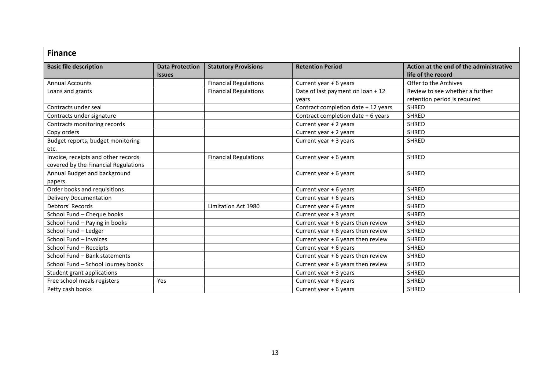| <b>Finance</b>                       |                                         |                              |                                     |                                                               |
|--------------------------------------|-----------------------------------------|------------------------------|-------------------------------------|---------------------------------------------------------------|
| <b>Basic file description</b>        | <b>Data Protection</b><br><b>Issues</b> | <b>Statutory Provisions</b>  | <b>Retention Period</b>             | Action at the end of the administrative<br>life of the record |
| <b>Annual Accounts</b>               |                                         | <b>Financial Regulations</b> | Current year + 6 years              | Offer to the Archives                                         |
| Loans and grants                     |                                         | <b>Financial Regulations</b> | Date of last payment on loan + 12   | Review to see whether a further                               |
|                                      |                                         |                              | vears                               | retention period is required                                  |
| Contracts under seal                 |                                         |                              | Contract completion date + 12 years | <b>SHRED</b>                                                  |
| Contracts under signature            |                                         |                              | Contract completion date + 6 years  | <b>SHRED</b>                                                  |
| Contracts monitoring records         |                                         |                              | Current year + 2 years              | SHRED                                                         |
| Copy orders                          |                                         |                              | Current year + 2 years              | <b>SHRED</b>                                                  |
| Budget reports, budget monitoring    |                                         |                              | Current year + 3 years              | SHRED                                                         |
| etc.                                 |                                         |                              |                                     |                                                               |
| Invoice, receipts and other records  |                                         | <b>Financial Regulations</b> | Current year + 6 years              | <b>SHRED</b>                                                  |
| covered by the Financial Regulations |                                         |                              |                                     |                                                               |
| Annual Budget and background         |                                         |                              | Current year + 6 years              | <b>SHRED</b>                                                  |
| papers                               |                                         |                              |                                     |                                                               |
| Order books and requisitions         |                                         |                              | Current year + 6 years              | <b>SHRED</b>                                                  |
| <b>Delivery Documentation</b>        |                                         |                              | Current year + 6 years              | <b>SHRED</b>                                                  |
| Debtors' Records                     |                                         | Limitation Act 1980          | Current year + 6 years              | <b>SHRED</b>                                                  |
| School Fund - Cheque books           |                                         |                              | Current year + 3 years              | <b>SHRED</b>                                                  |
| School Fund - Paying in books        |                                         |                              | Current year + 6 years then review  | <b>SHRED</b>                                                  |
| School Fund - Ledger                 |                                         |                              | Current year + 6 years then review  | <b>SHRED</b>                                                  |
| School Fund - Invoices               |                                         |                              | Current year + 6 years then review  | <b>SHRED</b>                                                  |
| School Fund - Receipts               |                                         |                              | Current year + 6 years              | <b>SHRED</b>                                                  |
| School Fund - Bank statements        |                                         |                              | Current year + 6 years then review  | <b>SHRED</b>                                                  |
| School Fund - School Journey books   |                                         |                              | Current year + 6 years then review  | <b>SHRED</b>                                                  |
| Student grant applications           |                                         |                              | Current year + 3 years              | <b>SHRED</b>                                                  |
| Free school meals registers          | Yes                                     |                              | Current year + 6 years              | <b>SHRED</b>                                                  |
| Petty cash books                     |                                         |                              | Current year + 6 years              | <b>SHRED</b>                                                  |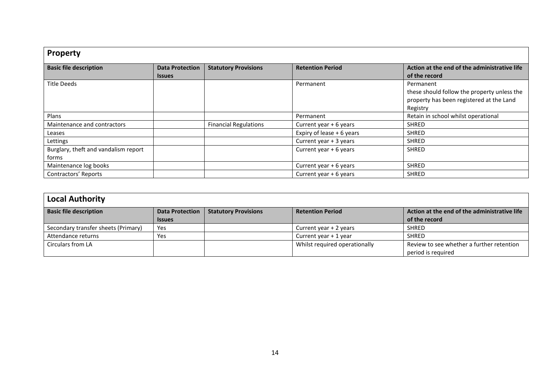| <b>Property</b>                               |                                         |                              |                           |                                                                                                                  |
|-----------------------------------------------|-----------------------------------------|------------------------------|---------------------------|------------------------------------------------------------------------------------------------------------------|
| <b>Basic file description</b>                 | <b>Data Protection</b><br><b>Issues</b> | <b>Statutory Provisions</b>  | <b>Retention Period</b>   | Action at the end of the administrative life<br>of the record                                                    |
| <b>Title Deeds</b>                            |                                         |                              | Permanent                 | Permanent<br>these should follow the property unless the<br>property has been registered at the Land<br>Registry |
| Plans                                         |                                         |                              | Permanent                 | Retain in school whilst operational                                                                              |
| Maintenance and contractors                   |                                         | <b>Financial Regulations</b> | Current year + 6 years    | <b>SHRED</b>                                                                                                     |
| Leases                                        |                                         |                              | Expiry of lease + 6 years | <b>SHRED</b>                                                                                                     |
| Lettings                                      |                                         |                              | Current year + 3 years    | <b>SHRED</b>                                                                                                     |
| Burglary, theft and vandalism report<br>forms |                                         |                              | Current year + 6 years    | <b>SHRED</b>                                                                                                     |
| Maintenance log books                         |                                         |                              | Current year + 6 years    | <b>SHRED</b>                                                                                                     |
| Contractors' Reports                          |                                         |                              | Current year + 6 years    | <b>SHRED</b>                                                                                                     |

| <b>Local Authority</b>              |                        |                             |                               |                                              |  |
|-------------------------------------|------------------------|-----------------------------|-------------------------------|----------------------------------------------|--|
| <b>Basic file description</b>       | <b>Data Protection</b> | <b>Statutory Provisions</b> | <b>Retention Period</b>       | Action at the end of the administrative life |  |
|                                     | <b>Issues</b>          |                             |                               | of the record                                |  |
| Secondary transfer sheets (Primary) | Yes                    |                             | Current year + 2 years        | <b>SHRED</b>                                 |  |
| Attendance returns                  | Yes                    |                             | Current year + 1 year         | <b>SHRED</b>                                 |  |
| Circulars from LA                   |                        |                             | Whilst required operationally | Review to see whether a further retention    |  |
|                                     |                        |                             |                               | period is required                           |  |